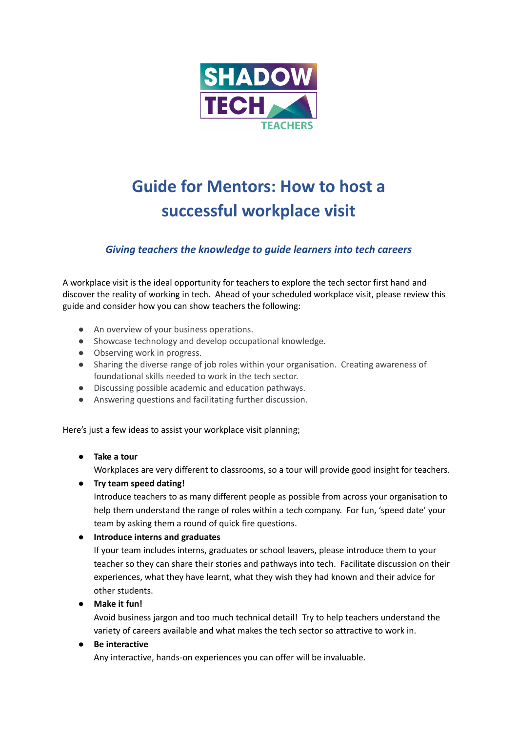

# **Guide for Mentors: How to host a successful workplace visit**

## *Giving teachers the knowledge to guide learners into tech careers*

A workplace visit is the ideal opportunity for teachers to explore the tech sector first hand and discover the reality of working in tech. Ahead of your scheduled workplace visit, please review this guide and consider how you can show teachers the following:

- An overview of your business operations.
- Showcase technology and develop occupational knowledge.
- Observing work in progress.
- Sharing the diverse range of job roles within your organisation. Creating awareness of foundational skills needed to work in the tech sector.
- Discussing possible academic and education pathways.
- Answering questions and facilitating further discussion.

Here's just a few ideas to assist your workplace visit planning;

## ● **Take a tour**

Workplaces are very different to classrooms, so a tour will provide good insight for teachers.

● **Try team speed dating!**

Introduce teachers to as many different people as possible from across your organisation to help them understand the range of roles within a tech company. For fun, 'speed date' your team by asking them a round of quick fire questions.

## **● Introduce interns and graduates**

If your team includes interns, graduates or school leavers, please introduce them to your teacher so they can share their stories and pathways into tech. Facilitate discussion on their experiences, what they have learnt, what they wish they had known and their advice for other students.

● **Make it fun!**

Avoid business jargon and too much technical detail! Try to help teachers understand the variety of careers available and what makes the tech sector so attractive to work in.

## ● **Be interactive**

Any interactive, hands-on experiences you can offer will be invaluable.